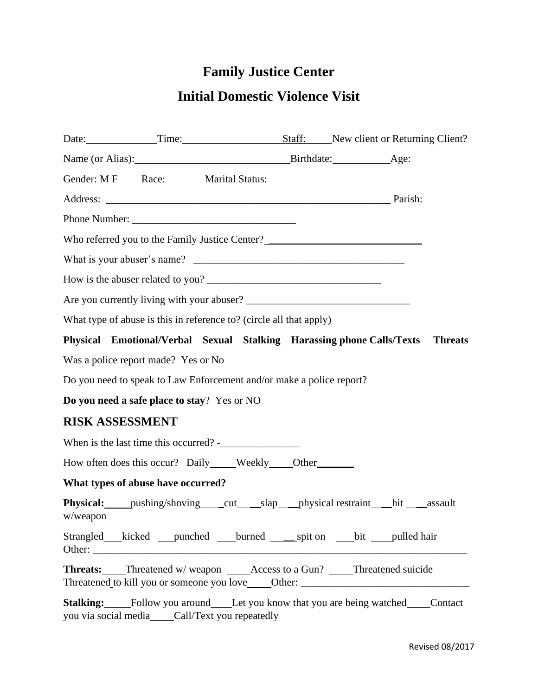# **Family Justice Center Initial Domestic Violence Visit**

|                        | Date: Time: Time: Staff: New client or Returning Client?                                                                                                          |  |  |                |
|------------------------|-------------------------------------------------------------------------------------------------------------------------------------------------------------------|--|--|----------------|
|                        |                                                                                                                                                                   |  |  |                |
|                        | Gender: M F Race: Marital Status:                                                                                                                                 |  |  |                |
|                        |                                                                                                                                                                   |  |  |                |
|                        |                                                                                                                                                                   |  |  |                |
|                        | Who referred you to the Family Justice Center?                                                                                                                    |  |  |                |
|                        |                                                                                                                                                                   |  |  |                |
|                        |                                                                                                                                                                   |  |  |                |
|                        |                                                                                                                                                                   |  |  |                |
|                        | What type of abuse is this in reference to? (circle all that apply)                                                                                               |  |  |                |
|                        | Physical Emotional/Verbal Sexual Stalking Harassing phone Calls/Texts                                                                                             |  |  | <b>Threats</b> |
|                        | Was a police report made? Yes or No                                                                                                                               |  |  |                |
|                        | Do you need to speak to Law Enforcement and/or make a police report?                                                                                              |  |  |                |
|                        | Do you need a safe place to stay? Yes or NO                                                                                                                       |  |  |                |
| <b>RISK ASSESSMENT</b> |                                                                                                                                                                   |  |  |                |
|                        |                                                                                                                                                                   |  |  |                |
|                        | How often does this occur? Daily____Weekly____Other_______                                                                                                        |  |  |                |
|                        | What types of abuse have occurred?                                                                                                                                |  |  |                |
| w/weapon               | <b>Physical:</b> pushing/shoving cut slap physical restraint hit assault                                                                                          |  |  |                |
|                        | Strangled kicked punched burned spit on bit pulled hair                                                                                                           |  |  |                |
|                        | Threats: Threatened w/weapon ______Access to a Gun? ______Threatened suicide<br>Threatened to kill you or someone you love____Other: ____________________________ |  |  |                |
|                        | <b>Stalking:</b> Follow you around Let you know that you are being watched                                                                                        |  |  | Contact        |

you via social media\_\_\_\_Call/Text you repeatedly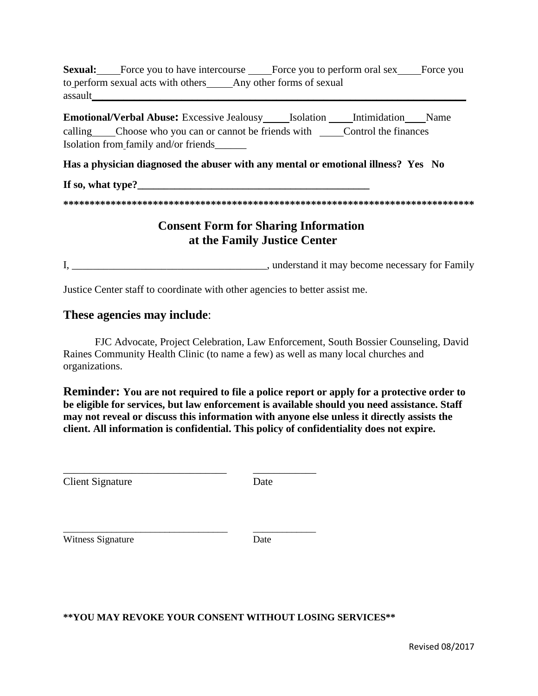**Sexual:** Force you to have intercourse Force you to perform oral sex Force you to perform sexual acts with others Any other forms of sexual assault

**Emotional/Verbal Abuse:** Excessive Jealousy\_\_\_\_\_\_Isolation\_\_\_\_Intimidation\_\_\_\_Name calling Choose who you can or cannot be friends with Control the finances Isolation from family and/or friends\_\_\_\_\_\_

**Has a physician diagnosed the abuser with any mental or emotional illness? Yes No**

#### If so, what type?

**\*\*\*\*\*\*\*\*\*\*\*\*\*\*\*\*\*\*\*\*\*\*\*\*\*\*\*\*\*\*\*\*\*\*\*\*\*\*\*\*\*\*\*\*\*\*\*\*\*\*\*\*\*\*\*\*\*\*\*\*\*\*\*\*\*\*\*\*\*\*\*\*\*\*\*\*\*\***

#### **Consent Form for Sharing Information at the Family Justice Center**

I, \_\_\_\_\_\_\_\_\_\_\_\_\_\_\_\_\_\_\_\_\_\_\_\_\_\_\_\_\_\_\_\_\_\_\_\_\_, understand it may become necessary for Family

Justice Center staff to coordinate with other agencies to better assist me.

\_\_\_\_\_\_\_\_\_\_\_\_\_\_\_\_\_\_\_\_\_\_\_\_\_\_\_\_\_\_\_ \_\_\_\_\_\_\_\_\_\_\_\_

\_\_\_\_\_\_\_\_\_\_\_\_\_\_\_\_\_\_\_\_\_\_\_\_\_\_\_\_\_\_\_\_\_\_ \_\_\_\_\_\_\_\_\_\_\_\_\_

#### **These agencies may include**:

FJC Advocate, Project Celebration, Law Enforcement, South Bossier Counseling, David Raines Community Health Clinic (to name a few) as well as many local churches and organizations.

**Reminder: You are not required to file a police report or apply for a protective order to be eligible for services, but law enforcement is available should you need assistance. Staff may not reveal or discuss this information with anyone else unless it directly assists the client. All information is confidential. This policy of confidentiality does not expire.**

**Client Signature** Date

Witness Signature Date

#### **\*\*YOU MAY REVOKE YOUR CONSENT WITHOUT LOSING SERVICES\*\***